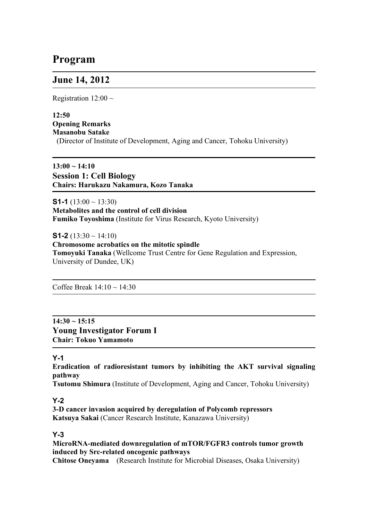# **Program**

# **June 14, 2012**

Registration  $12:00 \sim$ 

# **12:50 Opening Remarks Masanobu Satake**

(Director of Institute of Development, Aging and Cancer, Tohoku University)

**13:00 ~ 14:10 Session 1: Cell Biology Chairs: Harukazu Nakamura, Kozo Tanaka**

**S1-1** (13:00  $\sim$  13:30) **Metabolites and the control of cell division Fumiko Toyoshima** (Institute for Virus Research, Kyoto University)

**S1-2** (13:30  $\sim$  14:10) **Chromosome acrobatics on the mitotic spindle Tomoyuki Tanaka** (Wellcome Trust Centre for Gene Regulation and Expression, University of Dundee, UK)

Coffee Break  $14:10 \sim 14:30$ 

# **14:30 ~ 15:15 Young Investigator Forum I Chair: Tokuo Yamamoto**

# **Y-1**

**Eradication of radioresistant tumors by inhibiting the AKT survival signaling pathway**

**Tsutomu Shimura** (Institute of Development, Aging and Cancer, Tohoku University)

# **Y-2**

**3-D cancer invasion acquired by deregulation of Polycomb repressors Katsuya Sakai** (Cancer Research Institute, Kanazawa University)

# **Y-3**

**MicroRNA-mediated downregulation of mTOR/FGFR3 controls tumor growth induced by Src-related oncogenic pathways**

**Chitose Oneyama** (Research Institute for Microbial Diseases, Osaka University)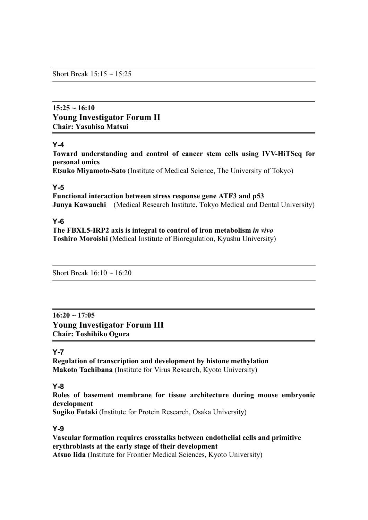Short Break  $15:15 \sim 15:25$ 

# **15:25 ~ 16:10 Young Investigator Forum II Chair: Yasuhisa Matsui**

#### **Y-4**

**Toward understanding and control of cancer stem cells using IVV-HiTSeq for personal omics**

**Etsuko Miyamoto-Sato** (Institute of Medical Science, The University of Tokyo)

#### **Y-5**

**Functional interaction between stress response gene ATF3 and p53 Junya Kawauchi** (Medical Research Institute, Tokyo Medical and Dental University)

# **Y-6**

**The FBXL5-IRP2 axis is integral to control of iron metabolism** *in vivo* **Toshiro Moroishi** (Medical Institute of Bioregulation, Kyushu University)

Short Break  $16:10 \sim 16:20$ 

**16:20 ~ 17:05 Young Investigator Forum III Chair: Toshihiko Ogura**

# **Y-7**

**Regulation of transcription and development by histone methylation Makoto Tachibana** (Institute for Virus Research, Kyoto University)

# **Y-8**

**Roles of basement membrane for tissue architecture during mouse embryonic development**

**Sugiko Futaki** (Institute for Protein Research, Osaka University)

# **Y-9**

**Vascular formation requires crosstalks between endothelial cells and primitive erythroblasts at the early stage of their development Atsuo Iida** (Institute for Frontier Medical Sciences, Kyoto University)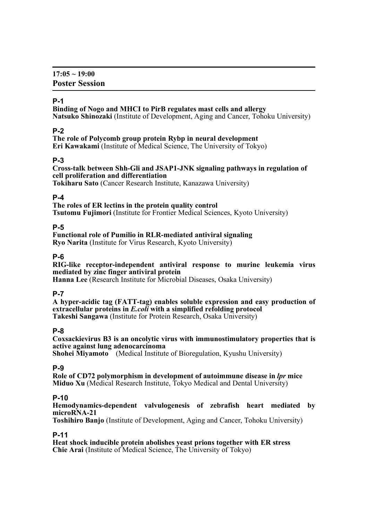# **P-1**

**Binding of Nogo and MHCI to PirB regulates mast cells and allergy Natsuko Shinozaki** (Institute of Development, Aging and Cancer, Tohoku University)

# **P-2**

**The role of Polycomb group protein Rybp in neural development**

**Eri Kawakami** (Institute of Medical Science, The University of Tokyo)

# **P-3**

**Cross-talk between Shh-Gli and JSAP1-JNK signaling pathways in regulation of cell proliferation and differentiation**

**Tokiharu Sato** (Cancer Research Institute, Kanazawa University)

#### **P-4**

**The roles of ER lectins in the protein quality control Tsutomu Fujimori** (Institute for Frontier Medical Sciences, Kyoto University)

# **P-5**

# **Functional role of Pumilio in RLR-mediated antiviral signaling**

**Ryo Narita** (Institute for Virus Research, Kyoto University)

# **P-6**

**RIG-like receptor-independent antiviral response to murine leukemia virus mediated by zinc finger antiviral protein**

**Hanna Lee** (Research Institute for Microbial Diseases, Osaka University)

# **P-7**

**A hyper-acidic tag (FATT-tag) enables soluble expression and easy production of extracellular proteins in** *E.coli* **with a simplified refolding protocol Takeshi Sangawa** (Institute for Protein Research, Osaka University)

#### **P-8**

**Coxsackievirus B3 is an oncolytic virus with immunostimulatory properties that is active against lung adenocarcinoma**

**Shohei Miyamoto** (Medical Institute of Bioregulation, Kyushu University)

# **P-9**

**Role of CD72 polymorphism in development of autoimmune disease in** *lpr* **mice Miduo Xu** (Medical Research Institute, Tokyo Medical and Dental University)

# **P-10**

**Hemodynamics-dependent valvulogenesis of zebrafish heart mediated by microRNA-21**

**Toshihiro Banjo** (Institute of Development, Aging and Cancer, Tohoku University)

# **P-11**

**Heat shock inducible protein abolishes yeast prions together with ER stress Chie Arai** (Institute of Medical Science, The University of Tokyo)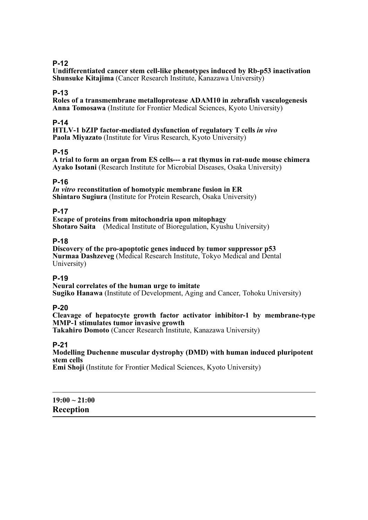# **P-12**

**Undifferentiated cancer stem cell-like phenotypes induced by Rb-p53 inactivation Shunsuke Kitajima** (Cancer Research Institute, Kanazawa University)

#### **P-13**

**Roles of a transmembrane metalloprotease ADAM10 in zebrafish vasculogenesis Anna Tomosawa** (Institute for Frontier Medical Sciences, Kyoto University)

#### **P-14**

**HTLV-1 bZIP factor-mediated dysfunction of regulatory T cells** *in vivo* **Paola Miyazato** (Institute for Virus Research, Kyoto University)

#### **P-15**

**A trial to form an organ from ES cells--- a rat thymus in rat-nude mouse chimera Ayako Isotani** (Research Institute for Microbial Diseases, Osaka University)

#### **P-16**

*In vitro* **reconstitution of homotypic membrane fusion in ER Shintaro Sugiura** (Institute for Protein Research, Osaka University)

#### **P-17**

**Escape of proteins from mitochondria upon mitophagy Shotaro Saita** (Medical Institute of Bioregulation, Kyushu University)

#### **P-18**

**Discovery of the pro-apoptotic genes induced by tumor suppressor p53 Nurmaa Dashzeveg** (Medical Research Institute, Tokyo Medical and Dental University)

# **P-19**

**Neural correlates of the human urge to imitate Sugiko Hanawa** (Institute of Development, Aging and Cancer, Tohoku University)

#### **P-20**

**Cleavage of hepatocyte growth factor activator inhibitor-1 by membrane-type MMP-1 stimulates tumor invasive growth**

**Takahiro Domoto** (Cancer Research Institute, Kanazawa University)

# **P-21**

**Modelling Duchenne muscular dystrophy (DMD) with human induced pluripotent stem cells**

**Emi Shoji** (Institute for Frontier Medical Sciences, Kyoto University)

**19:00 ~ 21:00 Reception**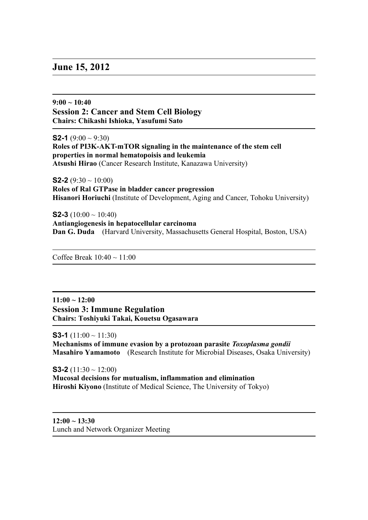# **June 15, 2012**

**9:00 ~ 10:40 Session 2: Cancer and Stem Cell Biology Chairs: Chikashi Ishioka, Yasufumi Sato**

**S2-1** (9:00  $\sim$  9:30) **Roles of PI3K-AKT-mTOR signaling in the maintenance of the stem cell properties in normal hematopoisis and leukemia Atsushi Hirao** (Cancer Research Institute, Kanazawa University)

**S2-2** (9:30  $\sim$  10:00) **Roles of Ral GTPase in bladder cancer progression Hisanori Horiuchi** (Institute of Development, Aging and Cancer, Tohoku University)

**S2-3** (10:00  $\sim$  10:40) **Antiangiogenesis in hepatocellular carcinoma Dan G. Duda** (Harvard University, Massachusetts General Hospital, Boston, USA)

Coffee Break  $10:40 \sim 11:00$ 

**11:00 ~ 12:00 Session 3: Immune Regulation Chairs: Toshiyuki Takai, Kouetsu Ogasawara**

**S3-1** (11:00  $\sim$  11:30) **Mechanisms of immune evasion by a protozoan parasite** *Toxoplasma gondii* **Masahiro Yamamoto** (Research Institute for Microbial Diseases, Osaka University)

**S3-2** (11:30  $\sim$  12:00) **Mucosal decisions for mutualism, inflammation and elimination Hiroshi Kiyono** (Institute of Medical Science, The University of Tokyo)

**12:00 ~ 13:30** Lunch and Network Organizer Meeting